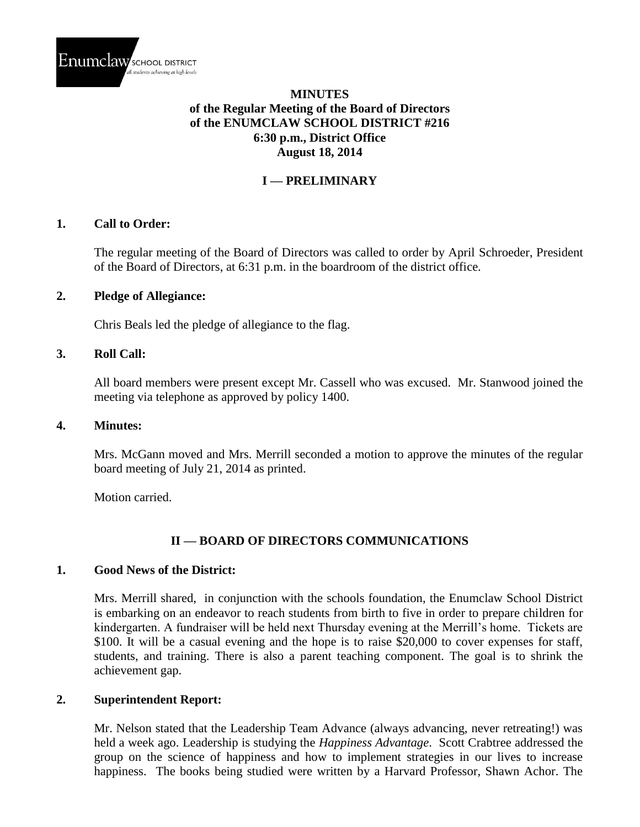

## **MINUTES of the Regular Meeting of the Board of Directors of the ENUMCLAW SCHOOL DISTRICT #216 6:30 p.m., District Office August 18, 2014**

# **I — PRELIMINARY**

### **1. Call to Order:**

The regular meeting of the Board of Directors was called to order by April Schroeder, President of the Board of Directors, at 6:31 p.m. in the boardroom of the district office.

#### **2. Pledge of Allegiance:**

Chris Beals led the pledge of allegiance to the flag.

#### **3. Roll Call:**

All board members were present except Mr. Cassell who was excused. Mr. Stanwood joined the meeting via telephone as approved by policy 1400.

#### **4. Minutes:**

Mrs. McGann moved and Mrs. Merrill seconded a motion to approve the minutes of the regular board meeting of July 21, 2014 as printed.

Motion carried.

## **II — BOARD OF DIRECTORS COMMUNICATIONS**

#### **1. Good News of the District:**

Mrs. Merrill shared, in conjunction with the schools foundation, the Enumclaw School District is embarking on an endeavor to reach students from birth to five in order to prepare children for kindergarten. A fundraiser will be held next Thursday evening at the Merrill's home. Tickets are \$100. It will be a casual evening and the hope is to raise \$20,000 to cover expenses for staff, students, and training. There is also a parent teaching component. The goal is to shrink the achievement gap.

### **2. Superintendent Report:**

Mr. Nelson stated that the Leadership Team Advance (always advancing, never retreating!) was held a week ago. Leadership is studying the *Happiness Advantage*. Scott Crabtree addressed the group on the science of happiness and how to implement strategies in our lives to increase happiness. The books being studied were written by a Harvard Professor, Shawn Achor. The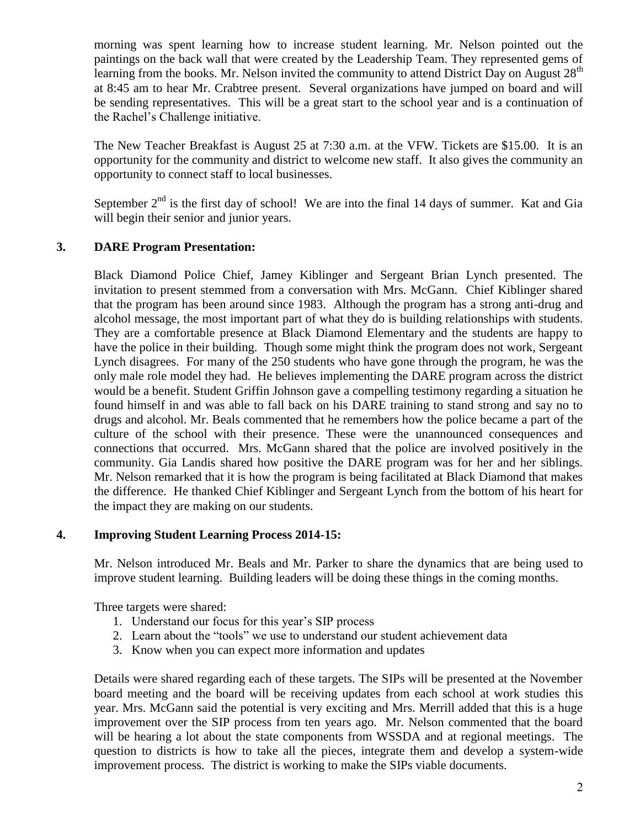morning was spent learning how to increase student learning. Mr. Nelson pointed out the paintings on the back wall that were created by the Leadership Team. They represented gems of learning from the books. Mr. Nelson invited the community to attend District Day on August  $28<sup>th</sup>$ at 8:45 am to hear Mr. Crabtree present. Several organizations have jumped on board and will be sending representatives. This will be a great start to the school year and is a continuation of the Rachel's Challenge initiative.

The New Teacher Breakfast is August 25 at 7:30 a.m. at the VFW. Tickets are \$15.00. It is an opportunity for the community and district to welcome new staff. It also gives the community an opportunity to connect staff to local businesses.

September  $2<sup>nd</sup>$  is the first day of school! We are into the final 14 days of summer. Kat and Gia will begin their senior and junior years.

# **3. DARE Program Presentation:**

Black Diamond Police Chief, Jamey Kiblinger and Sergeant Brian Lynch presented. The invitation to present stemmed from a conversation with Mrs. McGann. Chief Kiblinger shared that the program has been around since 1983. Although the program has a strong anti-drug and alcohol message, the most important part of what they do is building relationships with students. They are a comfortable presence at Black Diamond Elementary and the students are happy to have the police in their building. Though some might think the program does not work, Sergeant Lynch disagrees. For many of the 250 students who have gone through the program, he was the only male role model they had. He believes implementing the DARE program across the district would be a benefit. Student Griffin Johnson gave a compelling testimony regarding a situation he found himself in and was able to fall back on his DARE training to stand strong and say no to drugs and alcohol. Mr. Beals commented that he remembers how the police became a part of the culture of the school with their presence. These were the unannounced consequences and connections that occurred. Mrs. McGann shared that the police are involved positively in the community. Gia Landis shared how positive the DARE program was for her and her siblings. Mr. Nelson remarked that it is how the program is being facilitated at Black Diamond that makes the difference. He thanked Chief Kiblinger and Sergeant Lynch from the bottom of his heart for the impact they are making on our students.

## **4. Improving Student Learning Process 2014-15:**

Mr. Nelson introduced Mr. Beals and Mr. Parker to share the dynamics that are being used to improve student learning. Building leaders will be doing these things in the coming months.

Three targets were shared:

- 1. Understand our focus for this year's SIP process
- 2. Learn about the "tools" we use to understand our student achievement data
- 3. Know when you can expect more information and updates

Details were shared regarding each of these targets. The SIPs will be presented at the November board meeting and the board will be receiving updates from each school at work studies this year. Mrs. McGann said the potential is very exciting and Mrs. Merrill added that this is a huge improvement over the SIP process from ten years ago. Mr. Nelson commented that the board will be hearing a lot about the state components from WSSDA and at regional meetings. The question to districts is how to take all the pieces, integrate them and develop a system-wide improvement process. The district is working to make the SIPs viable documents.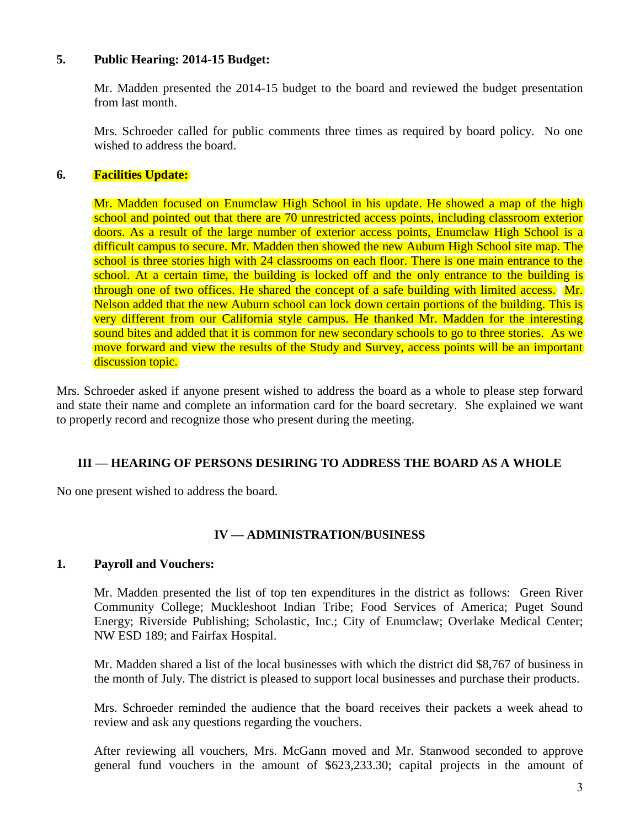### **5. Public Hearing: 2014-15 Budget:**

Mr. Madden presented the 2014-15 budget to the board and reviewed the budget presentation from last month.

Mrs. Schroeder called for public comments three times as required by board policy. No one wished to address the board.

## **6. Facilities Update:**

Mr. Madden focused on Enumclaw High School in his update. He showed a map of the high school and pointed out that there are 70 unrestricted access points, including classroom exterior doors. As a result of the large number of exterior access points, Enumclaw High School is a difficult campus to secure. Mr. Madden then showed the new Auburn High School site map. The school is three stories high with 24 classrooms on each floor. There is one main entrance to the school. At a certain time, the building is locked off and the only entrance to the building is through one of two offices. He shared the concept of a safe building with limited access. Mr. Nelson added that the new Auburn school can lock down certain portions of the building. This is very different from our California style campus. He thanked Mr. Madden for the interesting sound bites and added that it is common for new secondary schools to go to three stories. As we move forward and view the results of the Study and Survey, access points will be an important discussion topic.

Mrs. Schroeder asked if anyone present wished to address the board as a whole to please step forward and state their name and complete an information card for the board secretary. She explained we want to properly record and recognize those who present during the meeting.

## **III — HEARING OF PERSONS DESIRING TO ADDRESS THE BOARD AS A WHOLE**

No one present wished to address the board.

## **IV — ADMINISTRATION/BUSINESS**

### **1. Payroll and Vouchers:**

Mr. Madden presented the list of top ten expenditures in the district as follows: Green River Community College; Muckleshoot Indian Tribe; Food Services of America; Puget Sound Energy; Riverside Publishing; Scholastic, Inc.; City of Enumclaw; Overlake Medical Center; NW ESD 189; and Fairfax Hospital.

Mr. Madden shared a list of the local businesses with which the district did \$8,767 of business in the month of July. The district is pleased to support local businesses and purchase their products.

Mrs. Schroeder reminded the audience that the board receives their packets a week ahead to review and ask any questions regarding the vouchers.

After reviewing all vouchers, Mrs. McGann moved and Mr. Stanwood seconded to approve general fund vouchers in the amount of \$623,233.30; capital projects in the amount of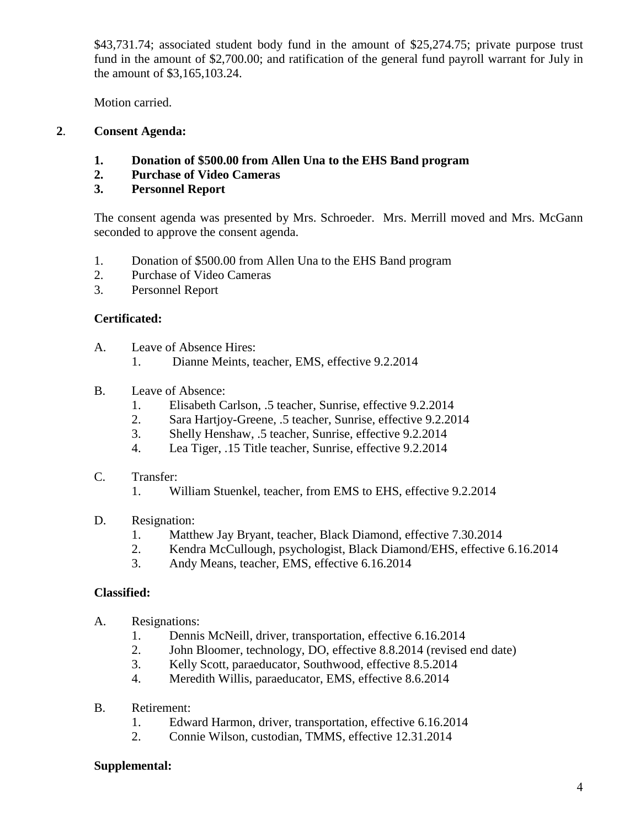\$43,731.74; associated student body fund in the amount of \$25,274.75; private purpose trust fund in the amount of \$2,700.00; and ratification of the general fund payroll warrant for July in the amount of \$3,165,103.24.

Motion carried.

# **2**. **Consent Agenda:**

- **1. Donation of \$500.00 from Allen Una to the EHS Band program**
- **2. Purchase of Video Cameras**
- **3. Personnel Report**

The consent agenda was presented by Mrs. Schroeder. Mrs. Merrill moved and Mrs. McGann seconded to approve the consent agenda.

- 1. Donation of \$500.00 from Allen Una to the EHS Band program
- 2. Purchase of Video Cameras
- 3. Personnel Report

# **Certificated:**

- A. Leave of Absence Hires:
	- 1. Dianne Meints, teacher, EMS, effective 9.2.2014
- B. Leave of Absence:
	- 1. Elisabeth Carlson, .5 teacher, Sunrise, effective 9.2.2014
	- 2. Sara Hartjoy-Greene, .5 teacher, Sunrise, effective 9.2.2014
	- 3. Shelly Henshaw, .5 teacher, Sunrise, effective 9.2.2014
	- 4. Lea Tiger, .15 Title teacher, Sunrise, effective 9.2.2014
- C. Transfer:
	- 1. William Stuenkel, teacher, from EMS to EHS, effective 9.2.2014
- D. Resignation:
	- 1. Matthew Jay Bryant, teacher, Black Diamond, effective 7.30.2014
	- 2. Kendra McCullough, psychologist, Black Diamond/EHS, effective 6.16.2014
	- 3. Andy Means, teacher, EMS, effective 6.16.2014

## **Classified:**

- A. Resignations:
	- 1. Dennis McNeill, driver, transportation, effective 6.16.2014
	- 2. John Bloomer, technology, DO, effective 8.8.2014 (revised end date)
	- 3. Kelly Scott, paraeducator, Southwood, effective 8.5.2014
	- 4. Meredith Willis, paraeducator, EMS, effective 8.6.2014
- B. Retirement:
	- 1. Edward Harmon, driver, transportation, effective 6.16.2014
	- 2. Connie Wilson, custodian, TMMS, effective 12.31.2014

## **Supplemental:**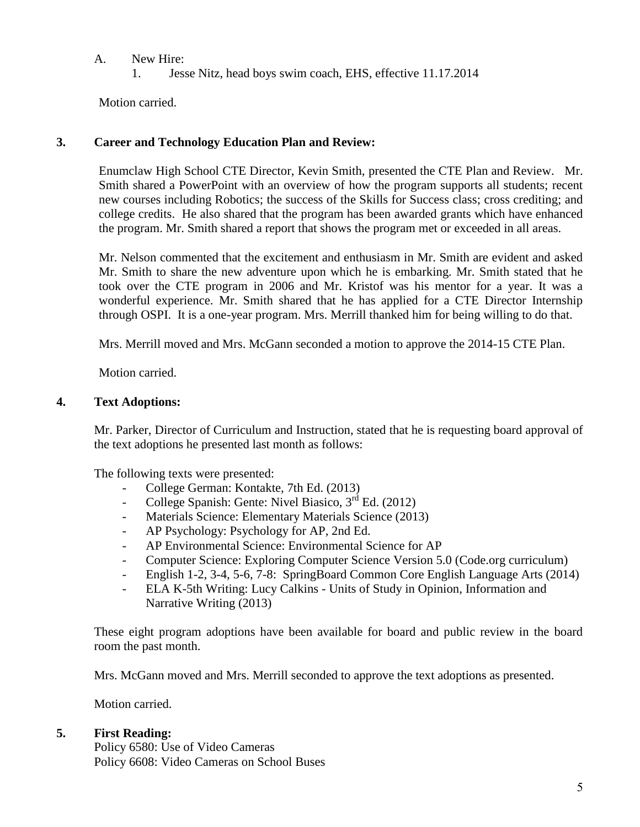- A. New Hire:
	- 1. Jesse Nitz, head boys swim coach, EHS, effective 11.17.2014

Motion carried.

## **3. Career and Technology Education Plan and Review:**

Enumclaw High School CTE Director, Kevin Smith, presented the CTE Plan and Review. Mr. Smith shared a PowerPoint with an overview of how the program supports all students; recent new courses including Robotics; the success of the Skills for Success class; cross crediting; and college credits. He also shared that the program has been awarded grants which have enhanced the program. Mr. Smith shared a report that shows the program met or exceeded in all areas.

Mr. Nelson commented that the excitement and enthusiasm in Mr. Smith are evident and asked Mr. Smith to share the new adventure upon which he is embarking. Mr. Smith stated that he took over the CTE program in 2006 and Mr. Kristof was his mentor for a year. It was a wonderful experience. Mr. Smith shared that he has applied for a CTE Director Internship through OSPI. It is a one-year program. Mrs. Merrill thanked him for being willing to do that.

Mrs. Merrill moved and Mrs. McGann seconded a motion to approve the 2014-15 CTE Plan.

Motion carried.

## **4. Text Adoptions:**

Mr. Parker, Director of Curriculum and Instruction, stated that he is requesting board approval of the text adoptions he presented last month as follows:

The following texts were presented:

- College German: Kontakte, 7th Ed. (2013)
- College Spanish: Gente: Nivel Biasico,  $3<sup>rd</sup>$  Ed. (2012)
- Materials Science: Elementary Materials Science (2013)
- AP Psychology: Psychology for AP, 2nd Ed.
- AP Environmental Science: Environmental Science for AP
- Computer Science: Exploring Computer Science Version 5.0 (Code.org curriculum)
- English 1-2, 3-4, 5-6, 7-8: SpringBoard Common Core English Language Arts (2014)
- ELA K-5th Writing: Lucy Calkins Units of Study in Opinion, Information and Narrative Writing (2013)

These eight program adoptions have been available for board and public review in the board room the past month.

Mrs. McGann moved and Mrs. Merrill seconded to approve the text adoptions as presented.

Motion carried.

## **5. First Reading:**

Policy 6580: Use of Video Cameras Policy 6608: Video Cameras on School Buses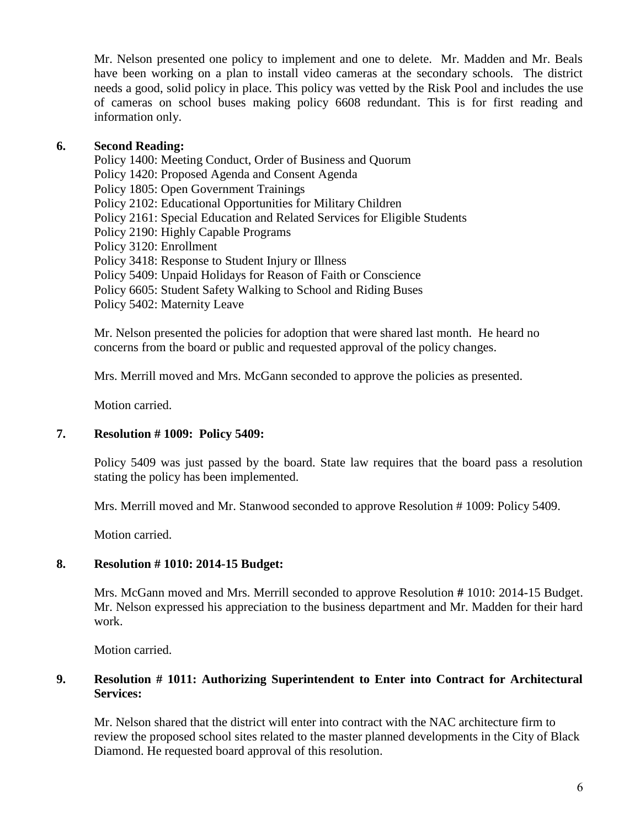Mr. Nelson presented one policy to implement and one to delete. Mr. Madden and Mr. Beals have been working on a plan to install video cameras at the secondary schools. The district needs a good, solid policy in place. This policy was vetted by the Risk Pool and includes the use of cameras on school buses making policy 6608 redundant. This is for first reading and information only.

## **6. Second Reading:**

Policy 1400: Meeting Conduct, Order of Business and Quorum Policy 1420: Proposed Agenda and Consent Agenda Policy 1805: Open Government Trainings Policy 2102: Educational Opportunities for Military Children Policy 2161: Special Education and Related Services for Eligible Students Policy 2190: Highly Capable Programs Policy 3120: Enrollment Policy 3418: Response to Student Injury or Illness Policy 5409: Unpaid Holidays for Reason of Faith or Conscience Policy 6605: Student Safety Walking to School and Riding Buses Policy 5402: Maternity Leave

Mr. Nelson presented the policies for adoption that were shared last month. He heard no concerns from the board or public and requested approval of the policy changes.

Mrs. Merrill moved and Mrs. McGann seconded to approve the policies as presented.

Motion carried.

## **7. Resolution # 1009: Policy 5409:**

Policy 5409 was just passed by the board. State law requires that the board pass a resolution stating the policy has been implemented.

Mrs. Merrill moved and Mr. Stanwood seconded to approve Resolution # 1009: Policy 5409.

Motion carried.

### **8. Resolution # 1010: 2014-15 Budget:**

Mrs. McGann moved and Mrs. Merrill seconded to approve Resolution **#** 1010: 2014-15 Budget. Mr. Nelson expressed his appreciation to the business department and Mr. Madden for their hard work.

Motion carried.

## **9. Resolution # 1011: Authorizing Superintendent to Enter into Contract for Architectural Services:**

Mr. Nelson shared that the district will enter into contract with the NAC architecture firm to review the proposed school sites related to the master planned developments in the City of Black Diamond. He requested board approval of this resolution.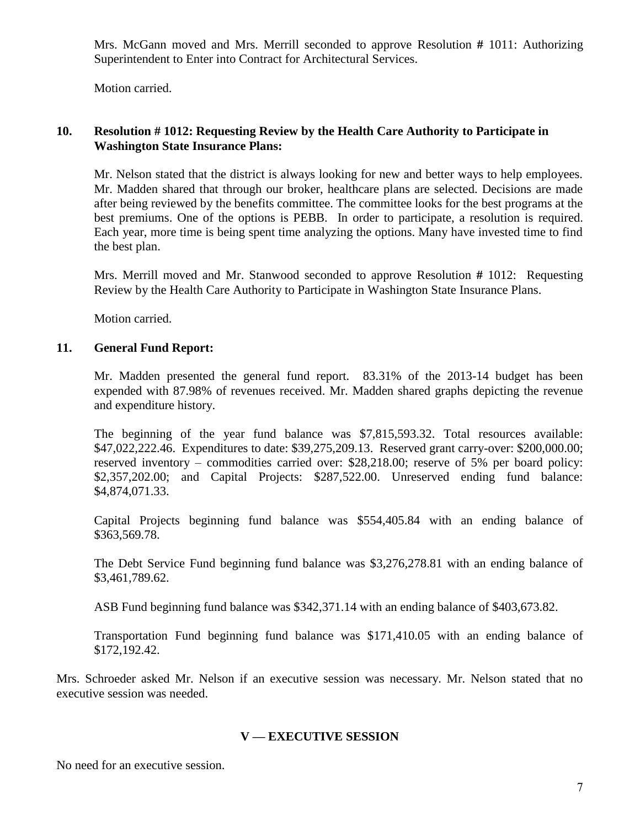Mrs. McGann moved and Mrs. Merrill seconded to approve Resolution **#** 1011: Authorizing Superintendent to Enter into Contract for Architectural Services.

Motion carried.

## **10. Resolution # 1012: Requesting Review by the Health Care Authority to Participate in Washington State Insurance Plans:**

Mr. Nelson stated that the district is always looking for new and better ways to help employees. Mr. Madden shared that through our broker, healthcare plans are selected. Decisions are made after being reviewed by the benefits committee. The committee looks for the best programs at the best premiums. One of the options is PEBB. In order to participate, a resolution is required. Each year, more time is being spent time analyzing the options. Many have invested time to find the best plan.

Mrs. Merrill moved and Mr. Stanwood seconded to approve Resolution **#** 1012: Requesting Review by the Health Care Authority to Participate in Washington State Insurance Plans.

Motion carried.

## **11. General Fund Report:**

Mr. Madden presented the general fund report. 83.31% of the 2013-14 budget has been expended with 87.98% of revenues received. Mr. Madden shared graphs depicting the revenue and expenditure history.

The beginning of the year fund balance was \$7,815,593.32. Total resources available: \$47,022,222.46. Expenditures to date: \$39,275,209.13. Reserved grant carry-over: \$200,000.00; reserved inventory – commodities carried over: \$28,218.00; reserve of 5% per board policy: \$2,357,202.00; and Capital Projects: \$287,522.00. Unreserved ending fund balance: \$4,874,071.33.

Capital Projects beginning fund balance was \$554,405.84 with an ending balance of \$363,569.78.

The Debt Service Fund beginning fund balance was \$3,276,278.81 with an ending balance of \$3,461,789.62.

ASB Fund beginning fund balance was \$342,371.14 with an ending balance of \$403,673.82.

Transportation Fund beginning fund balance was \$171,410.05 with an ending balance of \$172,192.42.

Mrs. Schroeder asked Mr. Nelson if an executive session was necessary. Mr. Nelson stated that no executive session was needed.

## **V — EXECUTIVE SESSION**

No need for an executive session.